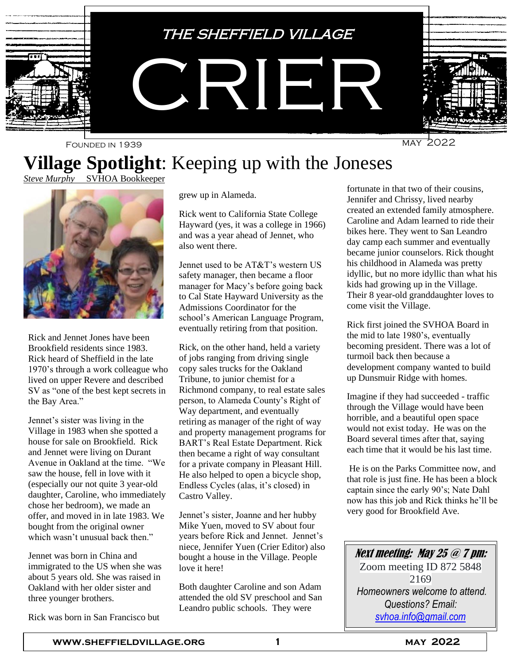

# **Village Spotlight**: Keeping up with the Joneses

*Steve Murphy* SVHOA Bookkeeper



Rick and Jennet Jones have been Brookfield residents since 1983. Rick heard of Sheffield in the late 1970's through a work colleague who lived on upper Revere and described SV as "one of the best kept secrets in the Bay Area."

Jennet's sister was living in the Village in 1983 when she spotted a house for sale on Brookfield. Rick and Jennet were living on Durant Avenue in Oakland at the time. "We saw the house, fell in love with it (especially our not quite 3 year-old daughter, Caroline, who immediately chose her bedroom), we made an offer, and moved in in late 1983. We bought from the original owner which wasn't unusual back then."

Jennet was born in China and immigrated to the US when she was about 5 years old. She was raised in Oakland with her older sister and three younger brothers.

Rick was born in San Francisco but

grew up in Alameda.

Rick went to California State College Hayward (yes, it was a college in 1966) and was a year ahead of Jennet, who also went there.

Jennet used to be AT&T's western US safety manager, then became a floor manager for Macy's before going back to Cal State Hayward University as the Admissions Coordinator for the school's American Language Program, eventually retiring from that position.

Rick, on the other hand, held a variety of jobs ranging from driving single copy sales trucks for the Oakland Tribune, to junior chemist for a Richmond company, to real estate sales person, to Alameda County's Right of Way department, and eventually retiring as manager of the right of way and property management programs for BART's Real Estate Department. Rick then became a right of way consultant for a private company in Pleasant Hill. He also helped to open a bicycle shop, Endless Cycles (alas, it's closed) in Castro Valley.

Jennet's sister, Joanne and her hubby Mike Yuen, moved to SV about four years before Rick and Jennet. Jennet's niece, Jennifer Yuen (Crier Editor) also bought a house in the Village. People love it here!

Both daughter Caroline and son Adam attended the old SV preschool and San Leandro public schools. They were

fortunate in that two of their cousins, Jennifer and Chrissy, lived nearby created an extended family atmosphere. Caroline and Adam learned to ride their bikes here. They went to San Leandro day camp each summer and eventually became junior counselors. Rick thought his childhood in Alameda was pretty idyllic, but no more idyllic than what his kids had growing up in the Village. Their 8 year-old granddaughter loves to come visit the Village.

Rick first joined the SVHOA Board in the mid to late 1980's, eventually becoming president. There was a lot of turmoil back then because a development company wanted to build up Dunsmuir Ridge with homes.

Imagine if they had succeeded - traffic through the Village would have been horrible, and a beautiful open space would not exist today. He was on the Board several times after that, saying each time that it would be his last time.

He is on the Parks Committee now, and that role is just fine. He has been a block captain since the early 90's; Nate Dahl now has this job and Rick thinks he'll be very good for Brookfield Ave.

Next meeting: May 25 @ 7 pm:

Zoom meeting ID 872 5848 2169 *Homeowners welcome to attend. Questions? Email: [svhoa.info@gmail.com](mailto:svhoa.info@gmail.com)*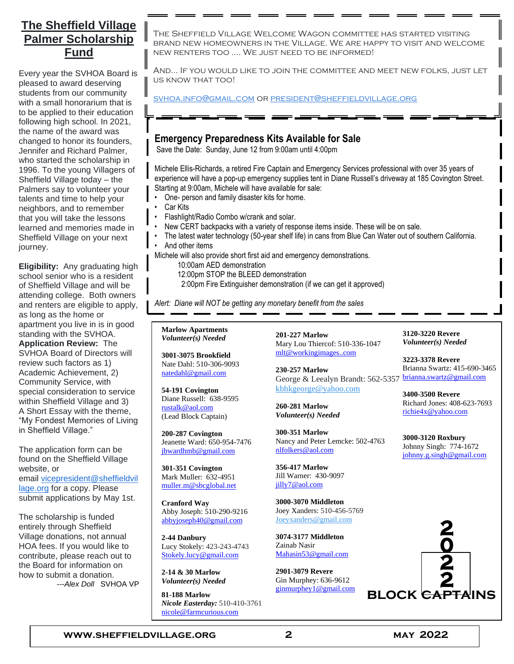### **The Sheffield Village Palmer Scholarship Fund**

Every year the SVHOA Board is pleased to award deserving students from our community with a small honorarium that is to be applied to their education following high school. In 2021, the name of the award was changed to honor its founders, Jennifer and Richard Palmer, who started the scholarship in 1996. To the young Villagers of Sheffield Village today – the Palmers say to volunteer your talents and time to help your neighbors, and to remember that you will take the lessons learned and memories made in Sheffield Village on your next journey.

**Eligibility:** Any graduating high school senior who is a resident of Sheffield Village and will be attending college. Both owners and renters are eligible to apply, as long as the home or apartment you live in is in good standing with the SVHOA. **Application Review:** The SVHOA Board of Directors will review such factors as 1) Academic Achievement, 2) Community Service, with special consideration to service within Sheffield Village and 3) A Short Essay with the theme, "My Fondest Memories of Living in Sheffield Village."

The application form can be found on the Sheffield Village website, or email [vicepresident@sheffieldvil](mailto:vicepresident@sheffieldvillage.org) [lage.org](mailto:vicepresident@sheffieldvillage.org) for a copy. Please submit applications by May 1st.

The scholarship is funded entirely through Sheffield Village donations, not annual HOA fees. If you would like to contribute, please reach out to the Board for information on how to submit a donation. ---*Alex Doll* SVHOA VP

The Sheffield Village Welcome Wagon committee has started visiting brand new homeowners in the Village. We are happy to visit and welcome new renters too .... We just need to be informed!

And... If you would like to join the committee and meet new folks, just let us know that too!

[svhoa.info@gmail.com](mailto:svhoa.info@gmail.com) or [president@sheffieldvillage.org](mailto:president@sheffieldvillage.org)

#### **Emergency Preparedness Kits Available for Sale**

Save the Date: Sunday, June 12 from 9:00am until 4:00pm

Michele Ellis-Richards, a retired Fire Captain and Emergency Services professional with over 35 years of experience will have a pop-up emergency supplies tent in Diane Russell's driveway at 185 Covington Street. Starting at 9:00am, Michele will have available for sale:

- One- person and family disaster kits for home.
- Car Kits
- Flashlight/Radio Combo w/crank and solar.
- New CERT backpacks with a variety of response items inside. These will be on sale.
- The latest water technology (50-year shelf life) in cans from Blue Can Water out of southern California.
- And other items

Michele will also provide short first aid and emergency demonstrations.

- 10:00am AED demonstration
	- 12:00pm STOP the BLEED demonstration
	- 2:00pm Fire Extinguisher demonstration (if we can get it approved)

*Alert: Diane will NOT be getting any monetary benefit from the sales*

**Marlow Apartments** *Volunteer(s) Needed*

**3001-3075 Brookfield** Nate Dahl: 510-306-9093 [natedahl@gmail.com](mailto:natedahl@gmail.com)

**54-191 Covington** Diane Russell: 638-9595 [rustalk@aol.com](../../../../Documents%20and%20Settings/Administrator/ym/Compose%3fTo=rustalk@aol.com&YY=79893&order=down&sort=date&pos=0) (Lead Block Captain)

**200-287 Covington** Jeanette Ward: 650-954-7476 [jbwardhmb@gmail.com](mailto:jbwardhmb@gmail.com)

**301-351 Covington** Mark Muller: 632-4951 [muller.m@sbcglobal.net](../../../../Documents%20and%20Settings/Administrator/ym/Compose%3fTo=muller.m@sbcglobal.net&YY=79893&order=down&sort=date&pos=0)

**Cranford Way** Abby Joseph: 510-290-9216 [abbyjoseph40@gmail.com](mailto:abbyjoseph40@gmail.com)

**2-44 Danbury** Lucy Stokely: 423-243-4743 [Stokely.lucy@gmail.com](mailto:Stokely.lucy@gmail.com)

**2-14 & 30 Marlow** *Volunteer(s) Needed*

**81-188 Marlow** *Nicole Easterday:* 510-410-3761 [nicole@farmcurious.com](mailto:nicole@farmcurious.com)

**201-227 Marlow** Mary Lou Thiercof: 510-336-1047 [mlt@workingimages..com](mailto:mlt@workingimages..com)

**230-257 Marlow** George & Leealyn Brandt: 562-5357 [brianna.swartz@gmail.com](mailto:brianna.swartz@gmail.com) [kbhkgeorge@yahoo.com](mailto:kbhkgeorge@yahoo.com)

**260-281 Marlow** *Volunteer(s) Needed*

**300-351 Marlow** Nancy and Peter Lemcke: 502-4763 [nlfolkers@aol.com](../../../../Documents%20and%20Settings/Administrator/ym/Compose%3fTo=Nlfolkers@aol.com&YY=79893&order=down&sort=date&pos=0)

**356-417 Marlow** Jill Warner: 430-9097 [jilly7@aol.com](mailto:jilly7@aol.com)

**3000-3070 Middleton** Joey Xanders: 510-456-5769 [Joeyxanders@gmail.com](mailto:Joeyxanders@gmail.com)

**3074-3177 Middleton** Zainab Nasir [Mahasin53@gmail.com](mailto:Mahasin53@gmail.com)

**2901-3079 Revere** Gin Murphey: 636-9612 [ginmurphey1@gmail.com](mailto:ginmurphey1@gmail.com) **3120-3220 Revere** *Volunteer(s) Needed*

**3223-3378 Revere** Brianna Swartz: 415-690-3465

**3400-3500 Revere** Richard Jones: 408-623-7693 [richie4x@yahoo.com](mailto:richie4x@yahoo.com)

**3000-3120 Roxbury** Johnny Singh: 774-1672 [johnny.g.singh@gmail.com](mailto:johnny.g.singh@gmail.com)